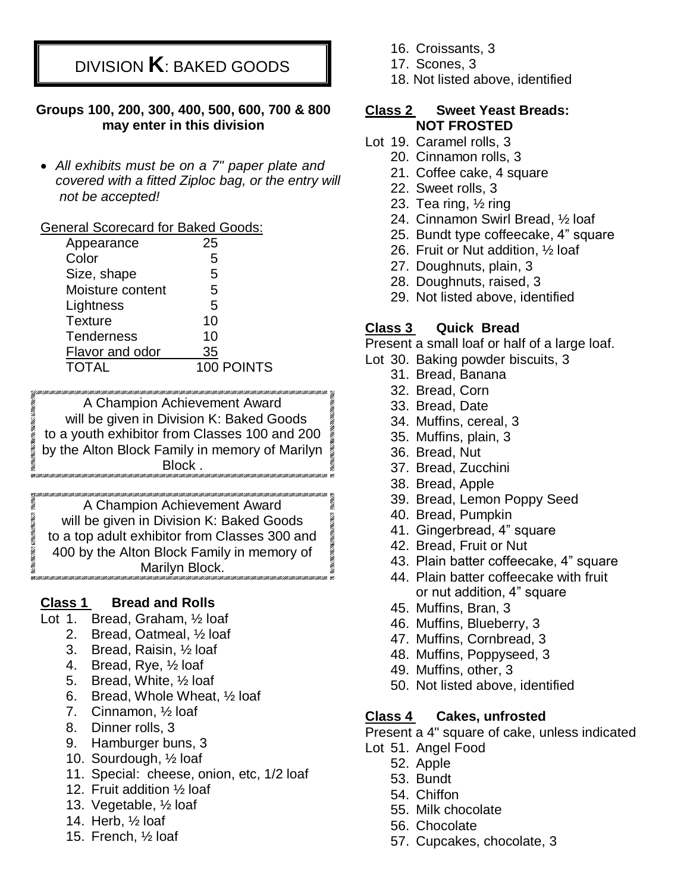# DIVISION **K**: BAKED GOODS

### **Groups 100, 200, 300, 400, 500, 600, 700 & 800 may enter in this division**

 *All exhibits must be on a 7" paper plate and covered with a fitted Ziploc bag, or the entry will not be accepted!*

### General Scorecard for Baked Goods:

| Appearance        | 25         |
|-------------------|------------|
| Color             | 5          |
| Size, shape       | 5          |
| Moisture content  | 5          |
| Lightness         | 5          |
| <b>Texture</b>    | 10         |
| <b>Tenderness</b> | 10         |
| Flavor and odor   | 35         |
| <b>TOTAL</b>      | 100 POINTS |

A Champion Achievement Award will be given in Division K: Baked Goods to a youth exhibitor from Classes 100 and 200 by the Alton Block Family in memory of Marilyn Block .

A Champion Achievement Award will be given in Division K: Baked Goods to a top adult exhibitor from Classes 300 and 400 by the Alton Block Family in memory of Marilyn Block.

### **Class 1 Bread and Rolls**

- Lot 1. Bread, Graham, ½ loaf
	- 2. Bread, Oatmeal, ½ loaf
	- 3. Bread, Raisin, ½ loaf
	- 4. Bread, Rye, ½ loaf
	- 5. Bread, White, ½ loaf
	- 6. Bread, Whole Wheat, ½ loaf
	- 7. Cinnamon, ½ loaf
	- 8. Dinner rolls, 3
	- 9. Hamburger buns, 3
	- 10. Sourdough, ½ loaf
	- 11. Special: cheese, onion, etc, 1/2 loaf
	- 12. Fruit addition ½ loaf
	- 13. Vegetable, ½ loaf
	- 14. Herb, ½ loaf
	- 15. French, ½ loaf
- 16. Croissants, 3
- 17. Scones, 3
- 18. Not listed above, identified

### **Class 2 Sweet Yeast Breads: NOT FROSTED**

- Lot 19. Caramel rolls, 3
	- 20. Cinnamon rolls, 3
	- 21. Coffee cake, 4 square
	- 22. Sweet rolls, 3
	- 23. Tea ring, ½ ring
	- 24. Cinnamon Swirl Bread, ½ loaf
	- 25. Bundt type coffeecake, 4" square
	- 26. Fruit or Nut addition, ½ loaf
	- 27. Doughnuts, plain, 3
	- 28. Doughnuts, raised, 3
	- 29. Not listed above, identified

### **Class 3 Quick Bread**

Present a small loaf or half of a large loaf.

- Lot 30. Baking powder biscuits, 3
	- 31. Bread, Banana
	- 32. Bread, Corn
	- 33. Bread, Date
	- 34. Muffins, cereal, 3
	- 35. Muffins, plain, 3
	- 36. Bread, Nut
	- 37. Bread, Zucchini
	- 38. Bread, Apple

**CONTRACTOR** 

- 39. Bread, Lemon Poppy Seed
- 40. Bread, Pumpkin
- 41. Gingerbread, 4" square
- 42. Bread, Fruit or Nut
- 43. Plain batter coffeecake, 4" square
- 44. Plain batter coffeecake with fruit or nut addition, 4" square
- 45. Muffins, Bran, 3
- 46. Muffins, Blueberry, 3
- 47. Muffins, Cornbread, 3
- 48. Muffins, Poppyseed, 3
- 49. Muffins, other, 3
- 50. Not listed above, identified

### **Class 4 Cakes, unfrosted**

Present a 4" square of cake, unless indicated

- Lot 51. Angel Food
	- 52. Apple
	- 53. Bundt
	- 54. Chiffon
	- 55. Milk chocolate
	- 56. Chocolate
	- 57. Cupcakes, chocolate, 3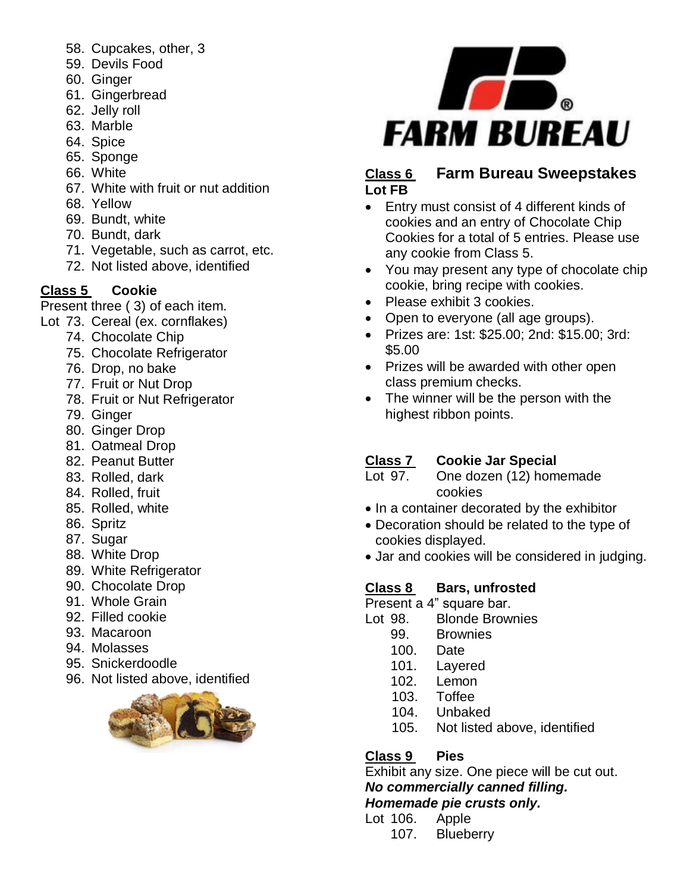- 58. Cupcakes, other, 3
- 59. Devils Food
- 60. Ginger
- 61. Gingerbread
- 62. Jelly roll
- 63. Marble
- 64. Spice
- 65. Sponge
- 66. White
- 67. White with fruit or nut addition
- 68. Yellow
- 69. Bundt, white
- 70. Bundt, dark
- 71. Vegetable, such as carrot, etc.
- 72. Not listed above, identified

### **Class 5 Cookie**

Present three ( 3) of each item.

- Lot 73. Cereal (ex. cornflakes)
	- 74. Chocolate Chip
	- 75. Chocolate Refrigerator
	- 76. Drop, no bake
	- 77. Fruit or Nut Drop
	- 78. Fruit or Nut Refrigerator
	- 79. Ginger
	- 80. Ginger Drop
	- 81. Oatmeal Drop
	- 82. Peanut Butter
	- 83. Rolled, dark
	- 84. Rolled, fruit
	- 85. Rolled, white
	- 86. Spritz
	- 87. Sugar
	- 88. White Drop
	- 89. White Refrigerator
	- 90. Chocolate Drop
	- 91. Whole Grain
	- 92. Filled cookie
	- 93. Macaroon
	- 94. Molasses
	- 95. Snickerdoodle
	- 96. Not listed above, identified





### **Class 6 Farm Bureau Sweepstakes Lot FB**

- Entry must consist of 4 different kinds of cookies and an entry of Chocolate Chip Cookies for a total of 5 entries. Please use any cookie from Class 5.
- You may present any type of chocolate chip cookie, bring recipe with cookies.
- Please exhibit 3 cookies.
- Open to everyone (all age groups).
- Prizes are: 1st: \$25.00; 2nd: \$15.00; 3rd: \$5.00
- Prizes will be awarded with other open class premium checks.
- The winner will be the person with the highest ribbon points.

### **Class 7 Cookie Jar Special**

- Lot 97. One dozen (12) homemade cookies
- In a container decorated by the exhibitor
- Decoration should be related to the type of cookies displayed.
- Jar and cookies will be considered in judging.

### **Class 8 Bars, unfrosted**

Present a 4" square bar.

- Lot 98. Blonde Brownies
	- 99. Brownies
	- 100. Date
	- 101. Layered
	- 102. Lemon
	- 103. Toffee
	- 104. Unbaked
	- 105. Not listed above, identified

### **Class 9 Pies**

Exhibit any size. One piece will be cut out.

*No commercially canned filling.*

*Homemade pie crusts only.* 

- Lot 106. Apple
	- 107. Blueberry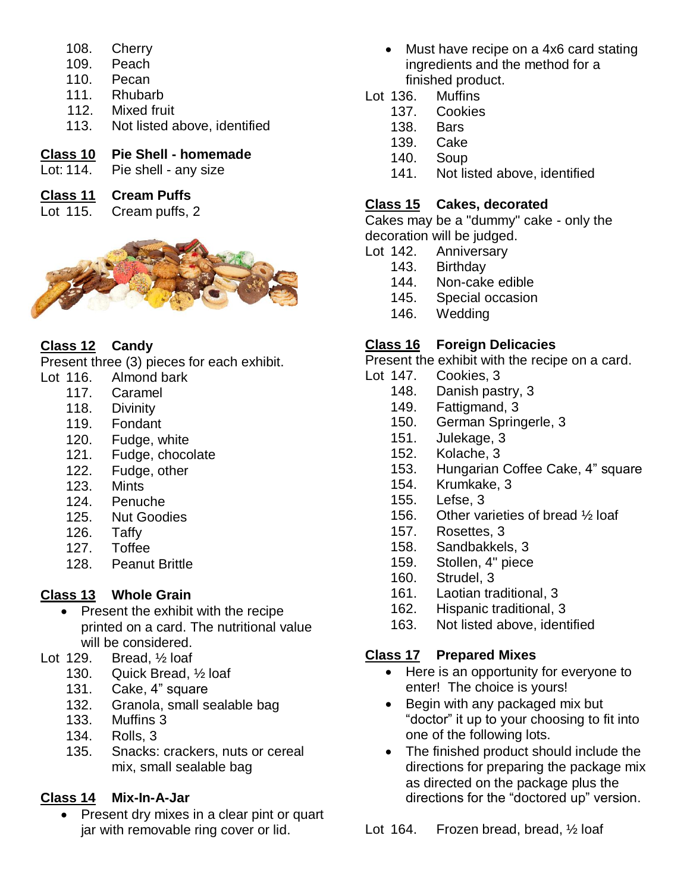- 108. Cherry
- 109. Peach
- 110. Pecan
- 111. Rhubarb
- 112. Mixed fruit
- 113. Not listed above, identified

## **Class 10 Pie Shell - homemade**

Lot: 114. Pie shell - any size

### **Class 11 Cream Puffs**

Lot 115. Cream puffs, 2



# **Class 12 Candy**

Present three (3) pieces for each exhibit.

- Lot 116. Almond bark
	- 117. Caramel
	- 118. Divinity
	- 119. Fondant
	- 120. Fudge, white
	- 121. Fudge, chocolate
	- 122. Fudge, other
	- 123. Mints
	- 124. Penuche
	- 125. Nut Goodies
	- 126. Taffy
	- 127. Toffee
	- 128. Peanut Brittle

# **Class 13 Whole Grain**

- Present the exhibit with the recipe printed on a card. The nutritional value will be considered.
- Lot 129. Bread,  $\frac{1}{2}$  loaf
	- 130. Quick Bread, ½ loaf
	- 131. Cake, 4" square
	- 132. Granola, small sealable bag
	- 133. Muffins 3
	- 134. Rolls, 3
	- 135. Snacks: crackers, nuts or cereal mix, small sealable bag

# **Class 14 Mix-In-A-Jar**

 Present dry mixes in a clear pint or quart jar with removable ring cover or lid.

- Must have recipe on a 4x6 card stating ingredients and the method for a finished product.
- Lot 136. Muffins
	- 137. Cookies
	- 138. Bars
	- 139. Cake
	- 140. Soup
	- 141. Not listed above, identified

## **Class 15 Cakes, decorated**

Cakes may be a "dummy" cake - only the decoration will be judged.

- Lot 142. Anniversary
	- 143. Birthday
	- 144. Non-cake edible
	- 145. Special occasion
	- 146. Wedding

# **Class 16 Foreign Delicacies**

Present the exhibit with the recipe on a card.

- Lot 147. Cookies, 3
	- 148. Danish pastry, 3
	- 149. Fattigmand, 3
	- 150. German Springerle, 3
	- 151. Julekage, 3
	- 152. Kolache, 3
	- 153. Hungarian Coffee Cake, 4" square
	- 154. Krumkake, 3
	- 155. Lefse, 3
	- 156. Other varieties of bread ½ loaf
	- 157. Rosettes, 3
	- 158. Sandbakkels, 3
	- 159. Stollen, 4" piece
	- 160. Strudel, 3
	- 161. Laotian traditional, 3
	- 162. Hispanic traditional, 3
	- 163. Not listed above, identified

# **Class 17 Prepared Mixes**

- Here is an opportunity for everyone to enter! The choice is yours!
- Begin with any packaged mix but "doctor" it up to your choosing to fit into one of the following lots.
- The finished product should include the directions for preparing the package mix as directed on the package plus the directions for the "doctored up" version.

Lot 164. Frozen bread, bread, 1/2 loaf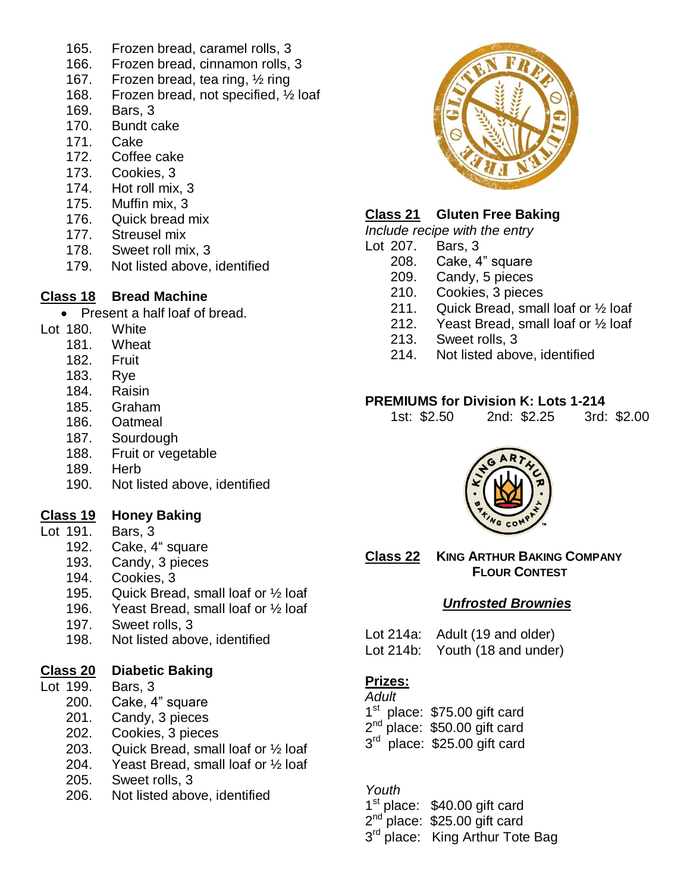- 165. Frozen bread, caramel rolls, 3
- 166. Frozen bread, cinnamon rolls, 3
- 167. Frozen bread, tea ring, ½ ring
- 168. Frozen bread, not specified, ½ loaf
- 169. Bars, 3
- 170. Bundt cake
- 171. Cake
- 172. Coffee cake
- 173. Cookies, 3
- 174. Hot roll mix, 3
- 175. Muffin mix, 3
- 176. Quick bread mix
- 177. Streusel mix
- 178. Sweet roll mix, 3
- 179. Not listed above, identified

### **Class 18 Bread Machine**

• Present a half loaf of bread.

- Lot 180. White
	- 181. Wheat
	- 182. Fruit
	- 183. Rye
	- 184. Raisin
	- 185. Graham
	- 186. Oatmeal
	- 187. Sourdough
	- 188. Fruit or vegetable
	- 189. Herb
	- 190. Not listed above, identified

#### **Class 19 Honey Baking**

- Lot 191. Bars, 3
	- 192. Cake, 4" square
	- 193. Candy, 3 pieces
	- 194. Cookies, 3
	- 195. Quick Bread, small loaf or ½ loaf
	- 196. Yeast Bread, small loaf or ½ loaf
	- 197. Sweet rolls, 3
	- 198. Not listed above, identified

### **Class 20 Diabetic Baking**

- Lot 199. Bars, 3
	- 200. Cake, 4" square
	- 201. Candy, 3 pieces
	- 202. Cookies, 3 pieces
	- 203. Quick Bread, small loaf or ½ loaf
	- 204. Yeast Bread, small loaf or ½ loaf
	- 205. Sweet rolls, 3
	- 206. Not listed above, identified



#### **Class 21 Gluten Free Baking**

*Include recipe with the entry*

- Lot 207. Bars, 3
	- 208. Cake, 4" square
	- 209. Candy, 5 pieces
	- 210. Cookies, 3 pieces
	- 211. Quick Bread, small loaf or ½ loaf
	- 212. Yeast Bread, small loaf or ½ loaf
	- 213. Sweet rolls, 3
	- 214. Not listed above, identified

#### **PREMIUMS for Division K: Lots 1-214**

| 1st: \$2.50 | 2nd: \$2.25 | 3rd: \$2.00 |
|-------------|-------------|-------------|
|-------------|-------------|-------------|



**Class 22 KING ARTHUR BAKING COMPANY FLOUR CONTEST**

### *Unfrosted Brownies*

Lot 214a: Adult (19 and older) Lot 214b: Youth (18 and under)

### **Prizes:**

*Adult* 

- 1<sup>st</sup> place: \$75.00 gift card
- 2<sup>nd</sup> place: \$50.00 gift card
- 3<sup>rd</sup> place: \$25.00 gift card

#### *Youth*

- 1<sup>st</sup> place: \$40.00 gift card
- 2<sup>nd p</sup>lace: \$25.00 gift card
- 3<sup>rd</sup> place: King Arthur Tote Bag